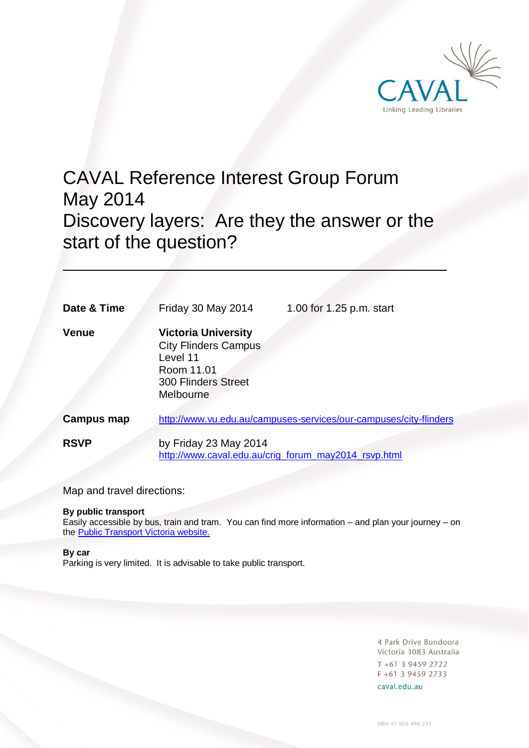

# CAVAL Reference Interest Group Forum May 2014 Discovery layers: Are they the answer or the start of the question?

| Date & Time  | Friday 30 May 2014                                                                                                             | 1.00 for 1.25 p.m. start |
|--------------|--------------------------------------------------------------------------------------------------------------------------------|--------------------------|
| <b>Venue</b> | <b>Victoria University</b><br><b>City Flinders Campus</b><br>Level 11<br>Room 11.01<br><b>300 Flinders Street</b><br>Melbourne |                          |
| Campus map   | http://www.vu.edu.au/campuses-services/our-campuses/city-flinders                                                              |                          |
| <b>RSVP</b>  | by Friday 23 May 2014<br>http://www.caval.edu.au/crig_forum_may2014_rsvp.html                                                  |                          |

Map and travel directions:

## **By public transport**

Easily accessible by bus, train and tram. You can find more information – and plan your journey – on the [Public Transport Victoria website.](http://ptv.vic.gov.au/)

## **By car**

Parking is very limited. It is advisable to take public transport.

4 Park Drive Bundoora Victoria 3083 Australia T +61 3 9459 2722 F +61 3 9459 2733

caval.edu.au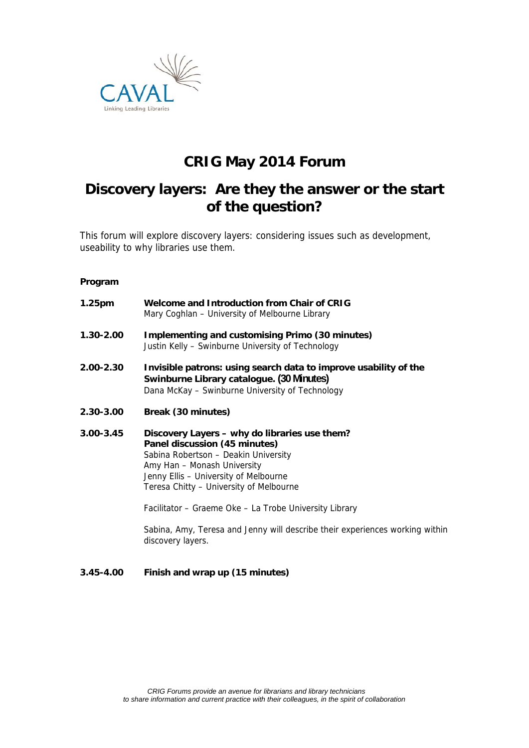

# **CRIG May 2014 Forum**

# **Discovery layers: Are they the answer or the start of the question?**

This forum will explore discovery layers: considering issues such as development, useability to why libraries use them.

## **Program**

| Welcome and Introduction from Chair of CRIG<br>Mary Coghlan – University of Melbourne Library                                                                                                                                             |  |
|-------------------------------------------------------------------------------------------------------------------------------------------------------------------------------------------------------------------------------------------|--|
| Implementing and customising Primo (30 minutes)<br>Justin Kelly - Swinburne University of Technology                                                                                                                                      |  |
| Invisible patrons: using search data to improve usability of the<br>Swinburne Library catalogue. (30 Minutes)<br>Dana McKay - Swinburne University of Technology                                                                          |  |
| Break (30 minutes)                                                                                                                                                                                                                        |  |
| Discovery Layers - why do libraries use them?<br>Panel discussion (45 minutes)<br>Sabina Robertson - Deakin University<br>Amy Han - Monash University<br>Jenny Ellis - University of Melbourne<br>Teresa Chitty – University of Melbourne |  |
|                                                                                                                                                                                                                                           |  |

Facilitator – Graeme Oke – La Trobe University Library

Sabina, Amy, Teresa and Jenny will describe their experiences working within discovery layers.

## **3.45-4.00 Finish and wrap up (15 minutes)**